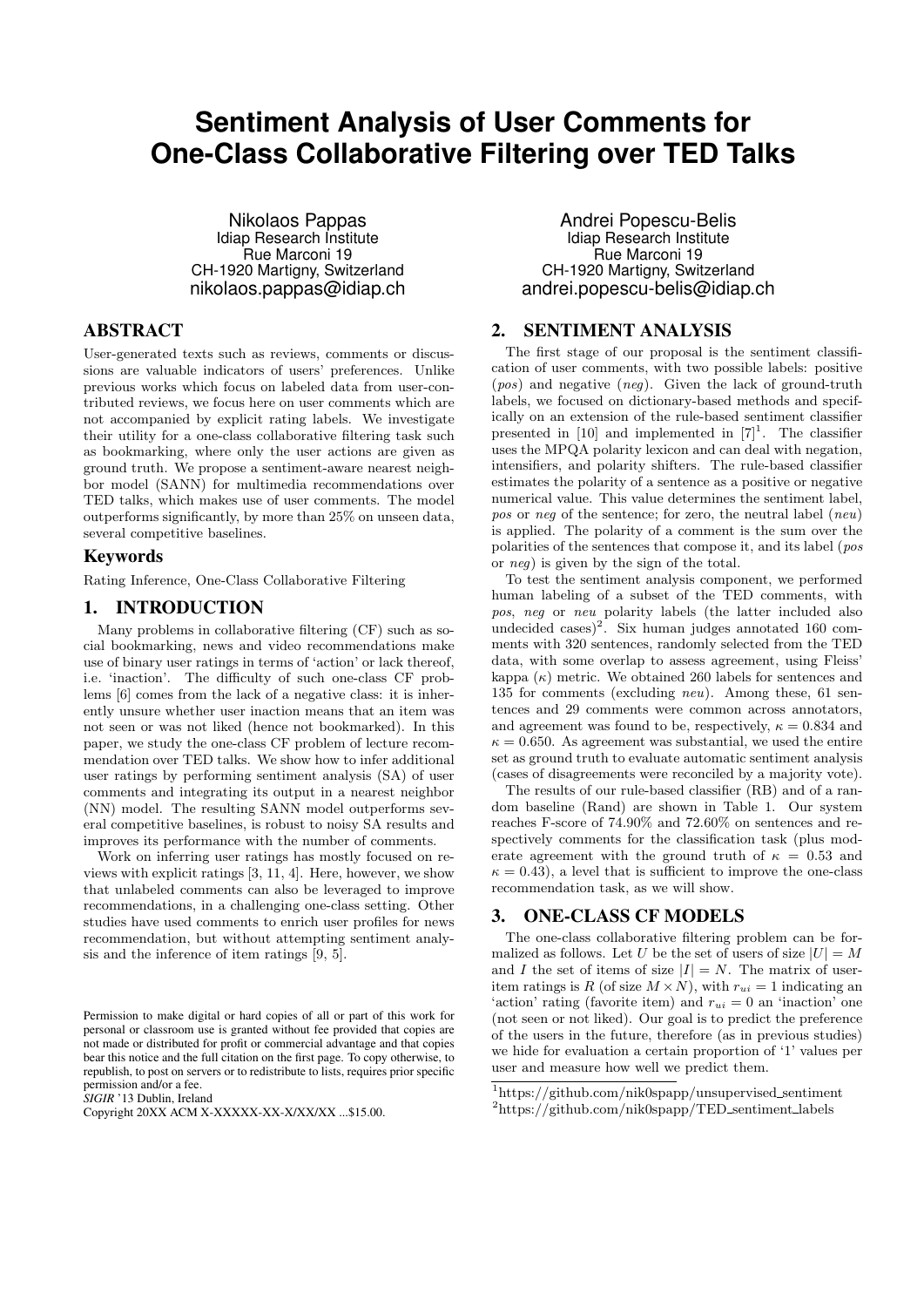# **Sentiment Analysis of User Comments for One-Class Collaborative Filtering over TED Talks**

Nikolaos Pappas Idiap Research Institute Rue Marconi 19 CH-1920 Martigny, Switzerland nikolaos.pappas@idiap.ch

# ABSTRACT

User-generated texts such as reviews, comments or discussions are valuable indicators of users' preferences. Unlike previous works which focus on labeled data from user-contributed reviews, we focus here on user comments which are not accompanied by explicit rating labels. We investigate their utility for a one-class collaborative filtering task such as bookmarking, where only the user actions are given as ground truth. We propose a sentiment-aware nearest neighbor model (SANN) for multimedia recommendations over TED talks, which makes use of user comments. The model outperforms significantly, by more than 25% on unseen data, several competitive baselines.

### Keywords

Rating Inference, One-Class Collaborative Filtering

# 1. INTRODUCTION

Many problems in collaborative filtering (CF) such as social bookmarking, news and video recommendations make use of binary user ratings in terms of 'action' or lack thereof, i.e. 'inaction'. The difficulty of such one-class CF problems [6] comes from the lack of a negative class: it is inherently unsure whether user inaction means that an item was not seen or was not liked (hence not bookmarked). In this paper, we study the one-class CF problem of lecture recommendation over TED talks. We show how to infer additional user ratings by performing sentiment analysis (SA) of user comments and integrating its output in a nearest neighbor (NN) model. The resulting SANN model outperforms several competitive baselines, is robust to noisy SA results and improves its performance with the number of comments.

Work on inferring user ratings has mostly focused on reviews with explicit ratings [3, 11, 4]. Here, however, we show that unlabeled comments can also be leveraged to improve recommendations, in a challenging one-class setting. Other studies have used comments to enrich user profiles for news recommendation, but without attempting sentiment analysis and the inference of item ratings [9, 5].

*SIGIR* '13 Dublin, Ireland

Andrei Popescu-Belis Idiap Research Institute Rue Marconi 19 CH-1920 Martigny, Switzerland andrei.popescu-belis@idiap.ch

# 2. SENTIMENT ANALYSIS

The first stage of our proposal is the sentiment classification of user comments, with two possible labels: positive (pos) and negative (neg). Given the lack of ground-truth labels, we focused on dictionary-based methods and specifically on an extension of the rule-based sentiment classifier presented in  $[10]$  and implemented in  $[7]^1$ . The classifier uses the MPQA polarity lexicon and can deal with negation, intensifiers, and polarity shifters. The rule-based classifier estimates the polarity of a sentence as a positive or negative numerical value. This value determines the sentiment label, pos or neg of the sentence; for zero, the neutral label (neu) is applied. The polarity of a comment is the sum over the polarities of the sentences that compose it, and its label (pos or neg) is given by the sign of the total.

To test the sentiment analysis component, we performed human labeling of a subset of the TED comments, with pos, neg or neu polarity labels (the latter included also undecided cases)<sup>2</sup>. Six human judges annotated 160 comments with 320 sentences, randomly selected from the TED data, with some overlap to assess agreement, using Fleiss' kappa  $(\kappa)$  metric. We obtained 260 labels for sentences and 135 for comments (excluding neu). Among these, 61 sentences and 29 comments were common across annotators, and agreement was found to be, respectively,  $\kappa = 0.834$  and  $\kappa = 0.650$ . As agreement was substantial, we used the entire set as ground truth to evaluate automatic sentiment analysis (cases of disagreements were reconciled by a majority vote).

The results of our rule-based classifier (RB) and of a random baseline (Rand) are shown in Table 1. Our system reaches F-score of 74.90% and 72.60% on sentences and respectively comments for the classification task (plus moderate agreement with the ground truth of  $\kappa = 0.53$  and  $\kappa = 0.43$ , a level that is sufficient to improve the one-class recommendation task, as we will show.

# 3. ONE-CLASS CF MODELS

The one-class collaborative filtering problem can be formalized as follows. Let U be the set of users of size  $|U| = M$ and I the set of items of size  $|I| = N$ . The matrix of useritem ratings is R (of size  $M \times N$ ), with  $r_{ui} = 1$  indicating an 'action' rating (favorite item) and  $r_{ui} = 0$  an 'inaction' one (not seen or not liked). Our goal is to predict the preference of the users in the future, therefore (as in previous studies) we hide for evaluation a certain proportion of '1' values per user and measure how well we predict them.

Permission to make digital or hard copies of all or part of this work for personal or classroom use is granted without fee provided that copies are not made or distributed for profit or commercial advantage and that copies bear this notice and the full citation on the first page. To copy otherwise, to republish, to post on servers or to redistribute to lists, requires prior specific permission and/or a fee.

Copyright 20XX ACM X-XXXXX-XX-X/XX/XX ...\$15.00.

 $1$ https://github.com/nik0spapp/unsupervised\_sentiment

<sup>2</sup>https://github.com/nik0spapp/TED sentiment labels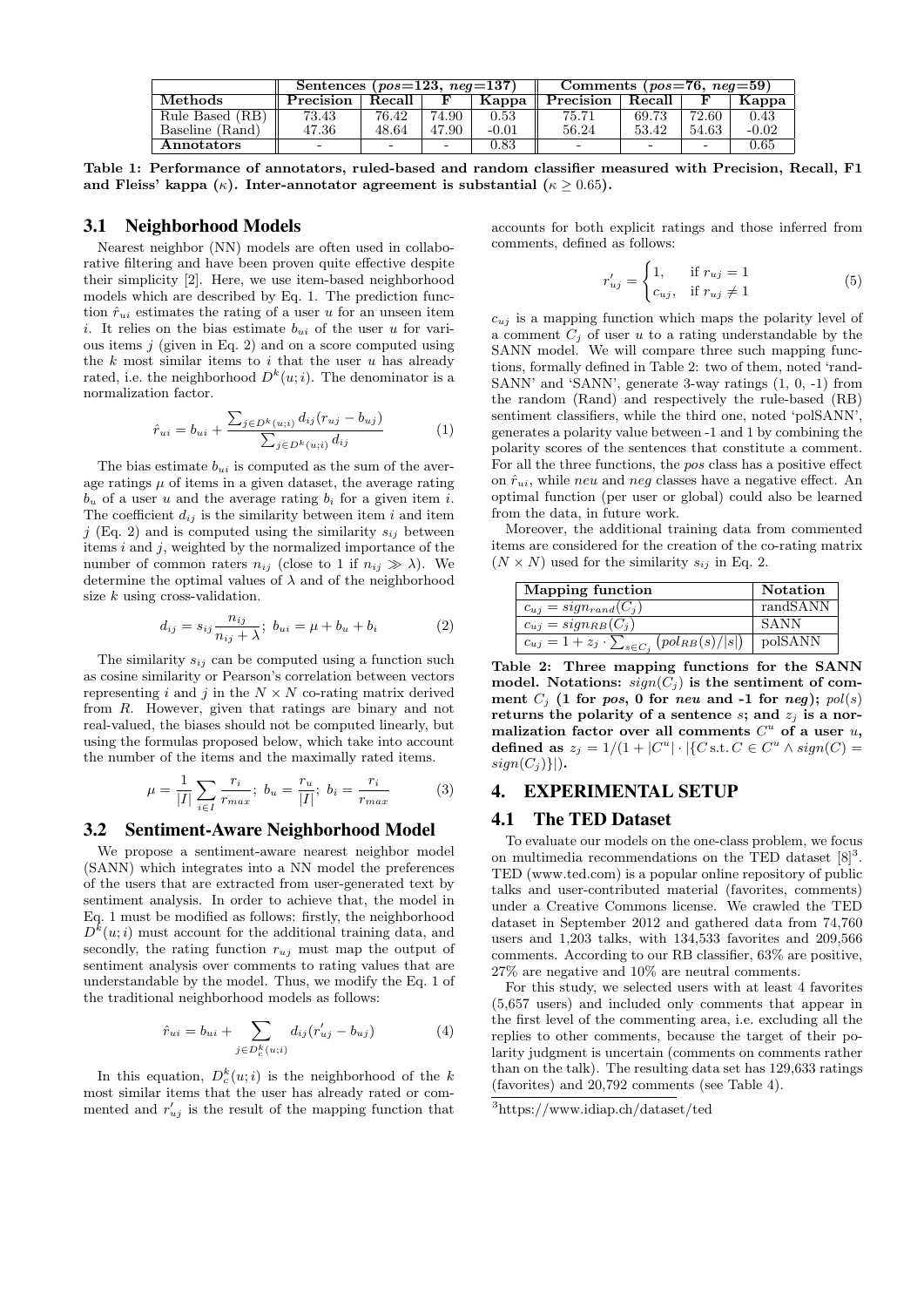|                   | Sentences ( $pos=123$ , $neg=137$ ) |        |                          |            | Comments ( $pos=76$ , $neg=59$ ) |        |                          |         |
|-------------------|-------------------------------------|--------|--------------------------|------------|----------------------------------|--------|--------------------------|---------|
| Methods           | Precision                           | Recall |                          | Kappa      | Precision                        | Recall |                          | Kappa   |
| Rule Based (RB)   | 73.43                               | 76.42  | 74.90                    | 0.53       | 75.71                            | 69.73  | 72.60                    | 0.43    |
| Baseline (Rand)   | 47.36                               | 48.64  | 47.90                    | $-0.01$    | 56.24                            | 53.42  | 54.63                    | $-0.02$ |
| <b>Annotators</b> | $\overline{\phantom{0}}$            |        | $\overline{\phantom{0}}$ | $\rm 0.83$ |                                  | -      | $\overline{\phantom{0}}$ | 0.65    |

Table 1: Performance of annotators, ruled-based and random classifier measured with Precision, Recall, F1 and Fleiss' kappa ( $\kappa$ ). Inter-annotator agreement is substantial ( $\kappa \geq 0.65$ ).

#### 3.1 Neighborhood Models

Nearest neighbor (NN) models are often used in collaborative filtering and have been proven quite effective despite their simplicity [2]. Here, we use item-based neighborhood models which are described by Eq. 1. The prediction function  $\hat{r}_{ui}$  estimates the rating of a user u for an unseen item i. It relies on the bias estimate  $b_{ui}$  of the user u for various items  $j$  (given in Eq. 2) and on a score computed using the  $k$  most similar items to  $i$  that the user  $u$  has already rated, i.e. the neighborhood  $D^k(u; i)$ . The denominator is a normalization factor.

$$
\hat{r}_{ui} = b_{ui} + \frac{\sum_{j \in D^k(u;i)} d_{ij}(r_{uj} - b_{uj})}{\sum_{j \in D^k(u;i)} d_{ij}} \tag{1}
$$

The bias estimate  $b_{ui}$  is computed as the sum of the average ratings  $\mu$  of items in a given dataset, the average rating  $b<sub>u</sub>$  of a user u and the average rating  $b<sub>i</sub>$  for a given item i. The coefficient  $d_{ij}$  is the similarity between item i and item j (Eq. 2) and is computed using the similarity  $s_{ij}$  between items  $i$  and  $j$ , weighted by the normalized importance of the number of common raters  $n_{ij}$  (close to 1 if  $n_{ij} \gg \lambda$ ). We determine the optimal values of  $\lambda$  and of the neighborhood size  $k$  using cross-validation.

$$
d_{ij} = s_{ij} \frac{n_{ij}}{n_{ij} + \lambda}; \ b_{ui} = \mu + b_u + b_i \tag{2}
$$

The similarity  $s_{ij}$  can be computed using a function such as cosine similarity or Pearson's correlation between vectors representing i and j in the  $N \times N$  co-rating matrix derived from R. However, given that ratings are binary and not real-valued, the biases should not be computed linearly, but using the formulas proposed below, which take into account the number of the items and the maximally rated items.

$$
\mu = \frac{1}{|I|} \sum_{i \in I} \frac{r_i}{r_{max}}; \ b_u = \frac{r_u}{|I|}; \ b_i = \frac{r_i}{r_{max}} \tag{3}
$$

#### 3.2 Sentiment-Aware Neighborhood Model

We propose a sentiment-aware nearest neighbor model (SANN) which integrates into a NN model the preferences of the users that are extracted from user-generated text by sentiment analysis. In order to achieve that, the model in Eq. 1 must be modified as follows: firstly, the neighborhood  $D^{k}(u;i)$  must account for the additional training data, and secondly, the rating function  $r_{uj}$  must map the output of sentiment analysis over comments to rating values that are understandable by the model. Thus, we modify the Eq. 1 of the traditional neighborhood models as follows:

$$
\hat{r}_{ui} = b_{ui} + \sum_{j \in D_c^k(u;i)} d_{ij} (r'_{uj} - b_{uj})
$$
\n(4)

In this equation,  $D_c^k(u; i)$  is the neighborhood of the k most similar items that the user has already rated or commented and  $r'_{uj}$  is the result of the mapping function that

accounts for both explicit ratings and those inferred from comments, defined as follows:

$$
r'_{uj} = \begin{cases} 1, & \text{if } r_{uj} = 1 \\ c_{uj}, & \text{if } r_{uj} \neq 1 \end{cases} \tag{5}
$$

 $c_{ui}$  is a mapping function which maps the polarity level of a comment  $C_i$  of user u to a rating understandable by the SANN model. We will compare three such mapping functions, formally defined in Table 2: two of them, noted 'rand-SANN' and 'SANN', generate 3-way ratings (1, 0, -1) from the random (Rand) and respectively the rule-based (RB) sentiment classifiers, while the third one, noted 'polSANN', generates a polarity value between -1 and 1 by combining the polarity scores of the sentences that constitute a comment. For all the three functions, the pos class has a positive effect on  $\hat{r}_{ui}$ , while neu and neg classes have a negative effect. An optimal function (per user or global) could also be learned from the data, in future work.

Moreover, the additional training data from commented items are considered for the creation of the co-rating matrix  $(N \times N)$  used for the similarity  $s_{ij}$  in Eq. 2.

| Mapping function                                              | <b>Notation</b> |
|---------------------------------------------------------------|-----------------|
| $c_{uj} = sign_{rand}(C_i)$                                   | randSANN        |
| $c_{uj} = sign_{RB}(C_j)$                                     | SANN            |
| $c_{uj} = 1 + z_j \cdot \sum_{s \in C_j} (pol_{RB}(s) /  s )$ | polSANN         |

Table 2: Three mapping functions for the SANN model. Notations:  $sign(C_j)$  is the sentiment of comment  $C_j$  (1 for pos, 0 for new and -1 for neg); pol(s) returns the polarity of a sentence  $s$ ; and  $z_j$  is a normalization factor over all comments  $C^u$  of a user  $u$ , defined as  $z_j = 1/(1 + |C^u| \cdot |\{C \text{ s.t. } C \in C^u \land sign(C) =$  $sign(C_j)\}|$ ).

#### 4. EXPERIMENTAL SETUP

#### 4.1 The TED Dataset

To evaluate our models on the one-class problem, we focus on multimedia recommendations on the TED dataset  $[8]^3$ . TED (www.ted.com) is a popular online repository of public talks and user-contributed material (favorites, comments) under a Creative Commons license. We crawled the TED dataset in September 2012 and gathered data from 74,760 users and 1,203 talks, with 134,533 favorites and 209,566 comments. According to our RB classifier, 63% are positive, 27% are negative and 10% are neutral comments.

For this study, we selected users with at least 4 favorites (5,657 users) and included only comments that appear in the first level of the commenting area, i.e. excluding all the replies to other comments, because the target of their polarity judgment is uncertain (comments on comments rather than on the talk). The resulting data set has 129,633 ratings (favorites) and 20,792 comments (see Table 4).

<sup>3</sup>https://www.idiap.ch/dataset/ted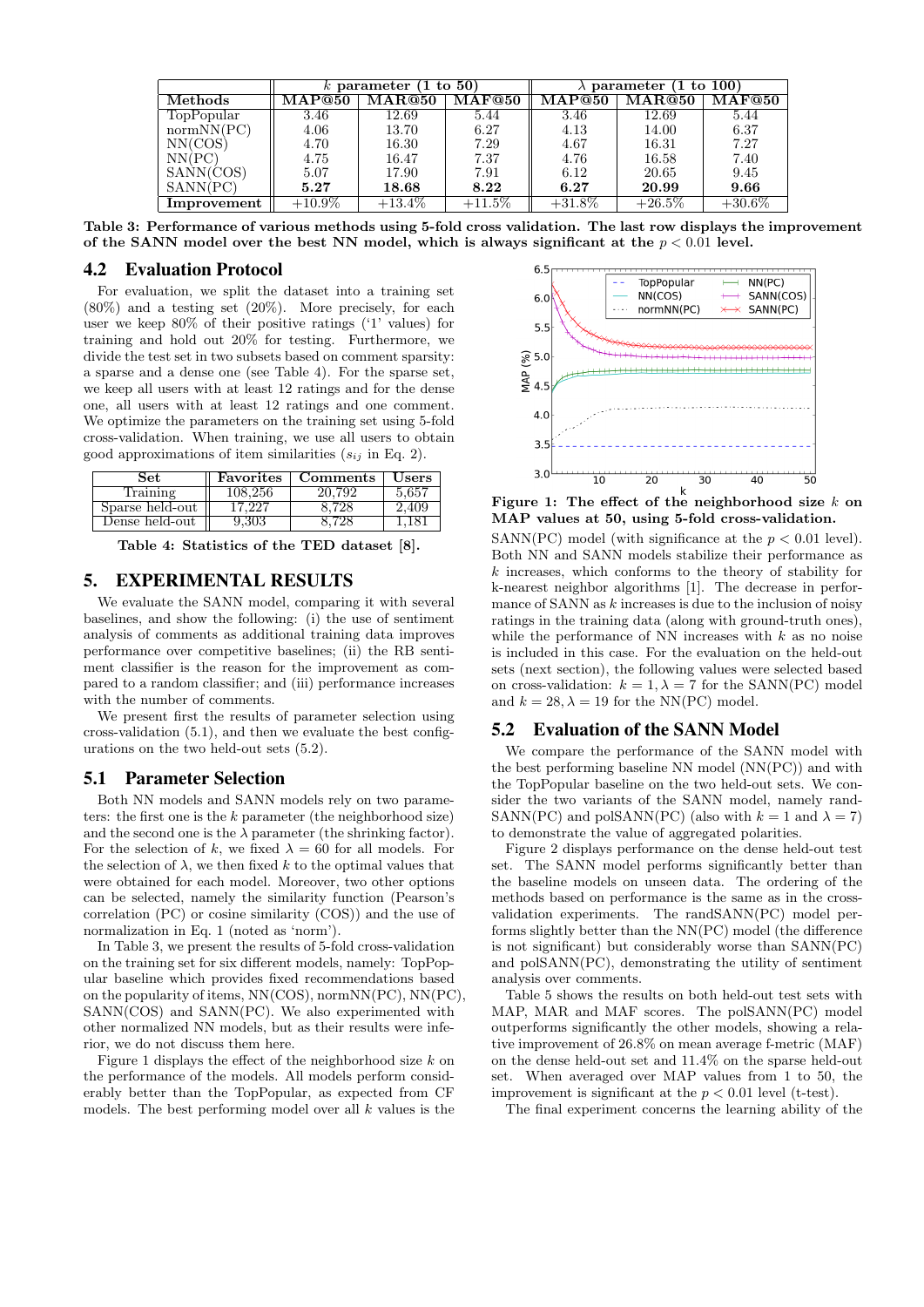|                | k parameter (1 to $50$ ) |           |              | to $100$<br>parameter |           |           |  |
|----------------|--------------------------|-----------|--------------|-----------------------|-----------|-----------|--|
| <b>Methods</b> | <b>MAP@50</b>            | MAR@50    | $\rm MAF@50$ | MAP@50                | MAR@50    | MAF@50    |  |
| TopPopular     | 3.46                     | 12.69     | 5.44         | 3.46                  | 12.69     | 5.44      |  |
| normNN(PC)     | 4.06                     | 13.70     | 6.27         | 4.13                  | 14.00     | 6.37      |  |
| NN(COS)        | 4.70                     | 16.30     | 7.29         | 4.67                  | 16.31     | 7.27      |  |
| NN(PC)         | 4.75                     | 16.47     | 7.37         | 4.76                  | 16.58     | 7.40      |  |
| SANN(COS)      | 5.07                     | 17.90     | 7.91         | 6.12                  | 20.65     | 9.45      |  |
| SANN(PC)       | 5.27                     | 18.68     | 8.22         | 6.27                  | 20.99     | 9.66      |  |
| Improvement    | $+10.9\%$                | $+13.4\%$ | $+11.5\%$    | $+31.8\%$             | $+26.5\%$ | $+30.6\%$ |  |

Table 3: Performance of various methods using 5-fold cross validation. The last row displays the improvement of the SANN model over the best NN model, which is always significant at the  $p < 0.01$  level.

#### 4.2 Evaluation Protocol

For evaluation, we split the dataset into a training set (80%) and a testing set (20%). More precisely, for each user we keep 80% of their positive ratings ('1' values) for training and hold out 20% for testing. Furthermore, we divide the test set in two subsets based on comment sparsity: a sparse and a dense one (see Table 4). For the sparse set, we keep all users with at least 12 ratings and for the dense one, all users with at least 12 ratings and one comment. We optimize the parameters on the training set using 5-fold cross-validation. When training, we use all users to obtain good approximations of item similarities  $(s_{ij}$  in Eq. 2).

| Set             | Favorites                 | Comments | Users |
|-----------------|---------------------------|----------|-------|
| Training        | 108.256                   | 20.792   | 5.657 |
| Sparse held-out | $\cdot$ ) $\cdot$ $\cdot$ |          | .409  |
| Dense held-out  |                           |          |       |

Table 4: Statistics of the TED dataset [8].

# 5. EXPERIMENTAL RESULTS

We evaluate the SANN model, comparing it with several baselines, and show the following: (i) the use of sentiment analysis of comments as additional training data improves performance over competitive baselines; (ii) the RB sentiment classifier is the reason for the improvement as compared to a random classifier; and (iii) performance increases with the number of comments.

We present first the results of parameter selection using cross-validation (5.1), and then we evaluate the best configurations on the two held-out sets (5.2).

#### 5.1 Parameter Selection

Both NN models and SANN models rely on two parameters: the first one is the k parameter (the neighborhood size) and the second one is the  $\lambda$  parameter (the shrinking factor). For the selection of k, we fixed  $\lambda = 60$  for all models. For the selection of  $\lambda$ , we then fixed k to the optimal values that were obtained for each model. Moreover, two other options can be selected, namely the similarity function (Pearson's correlation (PC) or cosine similarity (COS)) and the use of normalization in Eq. 1 (noted as 'norm').

In Table 3, we present the results of 5-fold cross-validation on the training set for six different models, namely: TopPopular baseline which provides fixed recommendations based on the popularity of items, NN(COS), normNN(PC), NN(PC), SANN(COS) and SANN(PC). We also experimented with other normalized NN models, but as their results were inferior, we do not discuss them here.

Figure 1 displays the effect of the neighborhood size  $k$  on the performance of the models. All models perform considerably better than the TopPopular, as expected from CF models. The best performing model over all  $k$  values is the



Figure 1: The effect of the neighborhood size  $k$  on MAP values at 50, using 5-fold cross-validation.

SANN(PC) model (with significance at the  $p < 0.01$  level). Both NN and SANN models stabilize their performance as  $k$  increases, which conforms to the theory of stability for k-nearest neighbor algorithms [1]. The decrease in performance of SANN as  $k$  increases is due to the inclusion of noisy ratings in the training data (along with ground-truth ones), while the performance of NN increases with  $k$  as no noise is included in this case. For the evaluation on the held-out sets (next section), the following values were selected based on cross-validation:  $k = 1, \lambda = 7$  for the SANN(PC) model and  $k = 28, \lambda = 19$  for the NN(PC) model.

#### 5.2 Evaluation of the SANN Model

We compare the performance of the SANN model with the best performing baseline NN model (NN(PC)) and with the TopPopular baseline on the two held-out sets. We consider the two variants of the SANN model, namely rand-SANN(PC) and polSANN(PC) (also with  $k = 1$  and  $\lambda = 7$ ) to demonstrate the value of aggregated polarities.

Figure 2 displays performance on the dense held-out test set. The SANN model performs significantly better than the baseline models on unseen data. The ordering of the methods based on performance is the same as in the crossvalidation experiments. The randSANN(PC) model performs slightly better than the NN(PC) model (the difference is not significant) but considerably worse than SANN(PC) and polSANN(PC), demonstrating the utility of sentiment analysis over comments.

Table 5 shows the results on both held-out test sets with MAP, MAR and MAF scores. The polSANN(PC) model outperforms significantly the other models, showing a relative improvement of 26.8% on mean average f-metric (MAF) on the dense held-out set and 11.4% on the sparse held-out set. When averaged over MAP values from 1 to 50, the improvement is significant at the  $p < 0.01$  level (t-test).

The final experiment concerns the learning ability of the